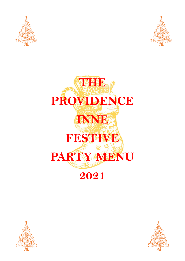



# **THE PROVIDENCE INNE FESTIVE PARTY MENU 2021**



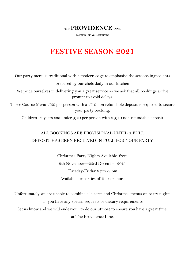**THE PROVIDENCE INNE**

Kentish Pub & Restaurant

## **FESTIVE SEASON 2021**

Our party menu is traditional with a modern edge to emphasise the seasons ingredients prepared by our chefs daily in our kitchen We pride ourselves in delivering you a great service so we ask that all bookings arrive prompt to avoid delays. Three Course Menu  $\ℓ_{30}$  per person with a  $\ℓ_{10}$  non refundable deposit is required to secure your party booking.

Children 12 years and under  $\mathcal{L}20$  per person with a  $\mathcal{L}10$  non refundable deposit

### ALL BOOKINGS ARE PROVISIONAL UNTIL A FULL DEPOSIT HAS BEEN RECEIVED IN FULL FOR YOUR PARTY.

Christmas Party Nights Available from 9th November—23rd December 2021 Tuesday-Friday 6 pm -9 pm Available for parties of four or more

Unfortunately we are unable to combine a la carte and Christmas menus on party nights if you have any special requests or dietary requirements let us know and we will endeavour to do our utmost to ensure you have a great time at The Providence Inne.